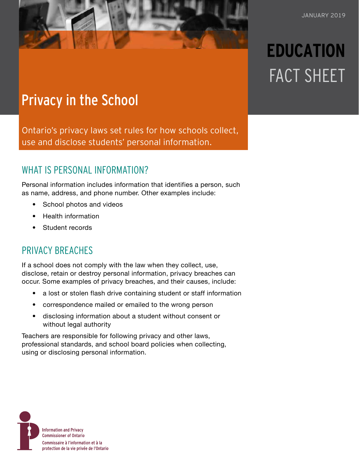# **EDUCATION** FACT SHEET

# Privacy in the School

Ontario's privacy laws set rules for how schools collect, use and disclose students' personal information.

### WHAT IS PERSONAL INFORMATION?

Personal information includes information that identifies a person, such as name, address, and phone number. Other examples include:

- School photos and videos
- Health information
- Student records

#### PRIVACY BREACHES

If a school does not comply with the law when they collect, use, disclose, retain or destroy personal information, privacy breaches can occur. Some examples of privacy breaches, and their causes, include:

- a lost or stolen flash drive containing student or staff information
- correspondence mailed or emailed to the wrong person
- disclosing information about a student without consent or without legal authority

Teachers are responsible for following privacy and other laws, professional standards, and school board policies when collecting, using or disclosing personal information.